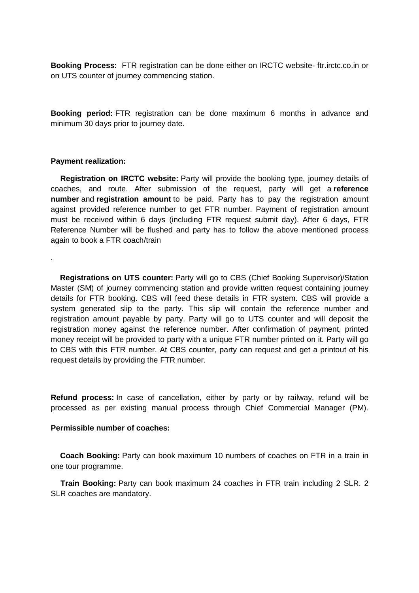**Booking Process:** FTR registration can be done either on IRCTC website- ftr.irctc.co.in or on UTS counter of journey commencing station.

**Booking period:** FTR registration can be done maximum 6 months in advance and minimum 30 days prior to journey date.

## **Payment realization:**

.

 **Registration on IRCTC website:** Party will provide the booking type, journey details of coaches, and route. After submission of the request, party will get a **reference number** and **registration amount** to be paid. Party has to pay the registration amount against provided reference number to get FTR number. Payment of registration amount must be received within 6 days (including FTR request submit day). After 6 days, FTR Reference Number will be flushed and party has to follow the above mentioned process again to book a FTR coach/train

 **Registrations on UTS counter:** Party will go to CBS (Chief Booking Supervisor)/Station Master (SM) of journey commencing station and provide written request containing journey details for FTR booking. CBS will feed these details in FTR system. CBS will provide a system generated slip to the party. This slip will contain the reference number and registration amount payable by party. Party will go to UTS counter and will deposit the registration money against the reference number. After confirmation of payment, printed money receipt will be provided to party with a unique FTR number printed on it. Party will go to CBS with this FTR number. At CBS counter, party can request and get a printout of his request details by providing the FTR number.

**Refund process:** In case of cancellation, either by party or by railway, refund will be processed as per existing manual process through Chief Commercial Manager (PM).

## **Permissible number of coaches:**

 **Coach Booking:** Party can book maximum 10 numbers of coaches on FTR in a train in one tour programme.

 **Train Booking:** Party can book maximum 24 coaches in FTR train including 2 SLR. 2 SLR coaches are mandatory.